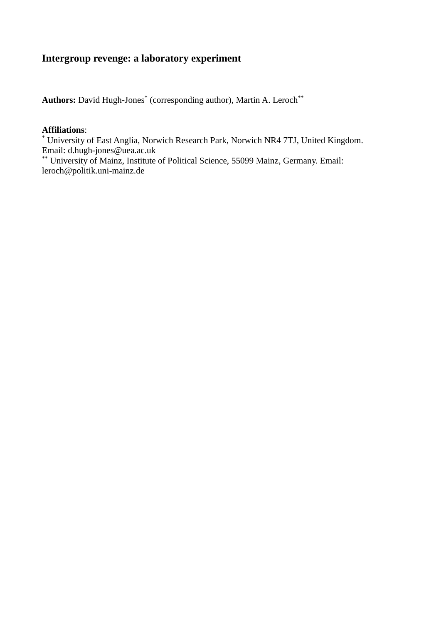# **Intergroup revenge: a laboratory experiment**

Authors: David Hugh-Jones<sup>\*</sup> (corresponding author), Martin A. Leroch<sup>\*\*</sup>

#### **Affiliations**:

\* University of East Anglia, Norwich Research Park, Norwich NR4 7TJ, United Kingdom. Email: [d.hugh-jones@uea.ac.uk](mailto:d.hugh-jones@uea.ac.uk)

\*\*\* University of Mainz, Institute of Political Science, 55099 Mainz, Germany. Email: [leroch@politik.uni-mainz.de](mailto:leroch@politik.uni-mainz.de)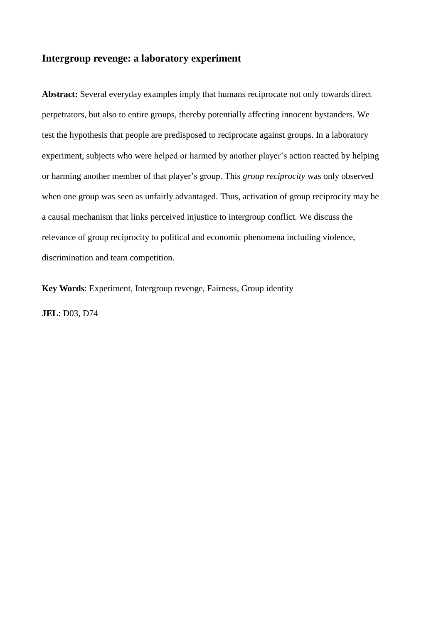## **Intergroup revenge: a laboratory experiment**

**Abstract:** Several everyday examples imply that humans reciprocate not only towards direct perpetrators, but also to entire groups, thereby potentially affecting innocent bystanders. We test the hypothesis that people are predisposed to reciprocate against groups. In a laboratory experiment, subjects who were helped or harmed by another player's action reacted by helping or harming another member of that player's group. This *group reciprocity* was only observed when one group was seen as unfairly advantaged. Thus, activation of group reciprocity may be a causal mechanism that links perceived injustice to intergroup conflict. We discuss the relevance of group reciprocity to political and economic phenomena including violence, discrimination and team competition.

**Key Words**: Experiment, Intergroup revenge, Fairness, Group identity

**JEL**: D03, D74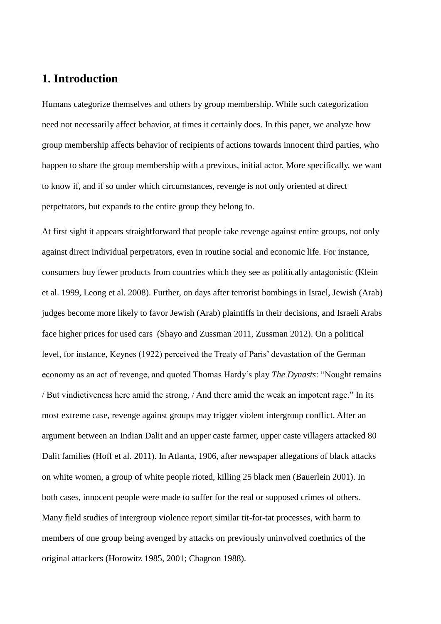# **1. Introduction**

Humans categorize themselves and others by group membership. While such categorization need not necessarily affect behavior, at times it certainly does. In this paper, we analyze how group membership affects behavior of recipients of actions towards innocent third parties, who happen to share the group membership with a previous, initial actor. More specifically, we want to know if, and if so under which circumstances, revenge is not only oriented at direct perpetrators, but expands to the entire group they belong to.

At first sight it appears straightforward that people take revenge against entire groups, not only against direct individual perpetrators, even in routine social and economic life. For instance, consumers buy fewer products from countries which they see as politically antagonistic (Klein et al. 1999, Leong et al. 2008). Further, on days after terrorist bombings in Israel, Jewish (Arab) judges become more likely to favor Jewish (Arab) plaintiffs in their decisions, and Israeli Arabs face higher prices for used cars (Shayo and Zussman 2011, Zussman 2012). On a political level, for instance, Keynes (1922) perceived the Treaty of Paris' devastation of the German economy as an act of revenge, and quoted Thomas Hardy's play *The Dynasts*: "Nought remains / But vindictiveness here amid the strong, / And there amid the weak an impotent rage." In its most extreme case, revenge against groups may trigger violent intergroup conflict. After an argument between an Indian Dalit and an upper caste farmer, upper caste villagers attacked 80 Dalit families (Hoff et al. 2011). In Atlanta, 1906, after newspaper allegations of black attacks on white women, a group of white people rioted, killing 25 black men (Bauerlein 2001). In both cases, innocent people were made to suffer for the real or supposed crimes of others. Many field studies of intergroup violence report similar tit-for-tat processes, with harm to members of one group being avenged by attacks on previously uninvolved coethnics of the original attackers (Horowitz 1985, 2001; Chagnon 1988).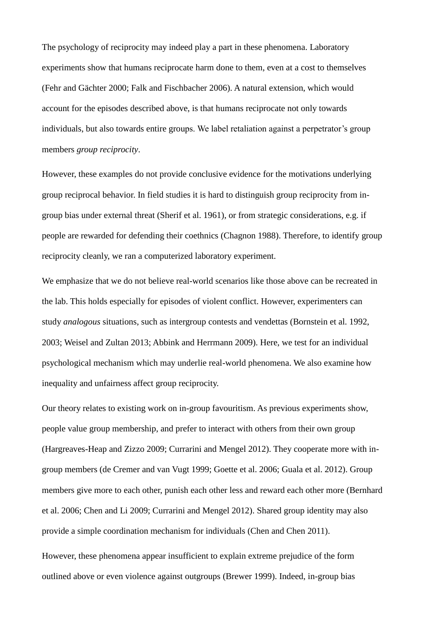The psychology of reciprocity may indeed play a part in these phenomena. Laboratory experiments show that humans reciprocate harm done to them, even at a cost to themselves (Fehr and Gächter 2000; Falk and Fischbacher 2006). A natural extension, which would account for the episodes described above, is that humans reciprocate not only towards individuals, but also towards entire groups. We label retaliation against a perpetrator's group members *group reciprocity*.

However, these examples do not provide conclusive evidence for the motivations underlying group reciprocal behavior. In field studies it is hard to distinguish group reciprocity from ingroup bias under external threat (Sherif et al. 1961), or from strategic considerations, e.g. if people are rewarded for defending their coethnics (Chagnon 1988). Therefore, to identify group reciprocity cleanly, we ran a computerized laboratory experiment.

We emphasize that we do not believe real-world scenarios like those above can be recreated in the lab. This holds especially for episodes of violent conflict. However, experimenters can study *analogous* situations, such as intergroup contests and vendettas (Bornstein et al. 1992, 2003; Weisel and Zultan 2013; Abbink and Herrmann 2009). Here, we test for an individual psychological mechanism which may underlie real-world phenomena. We also examine how inequality and unfairness affect group reciprocity.

Our theory relates to existing work on in-group favouritism. As previous experiments show, people value group membership, and prefer to interact with others from their own group (Hargreaves-Heap and Zizzo 2009; Currarini and Mengel 2012). They cooperate more with ingroup members (de Cremer and van Vugt 1999; Goette et al. 2006; Guala et al. 2012). Group members give more to each other, punish each other less and reward each other more (Bernhard et al. 2006; Chen and Li 2009; Currarini and Mengel 2012). Shared group identity may also provide a simple coordination mechanism for individuals (Chen and Chen 2011).

However, these phenomena appear insufficient to explain extreme prejudice of the form outlined above or even violence against outgroups (Brewer 1999). Indeed, in-group bias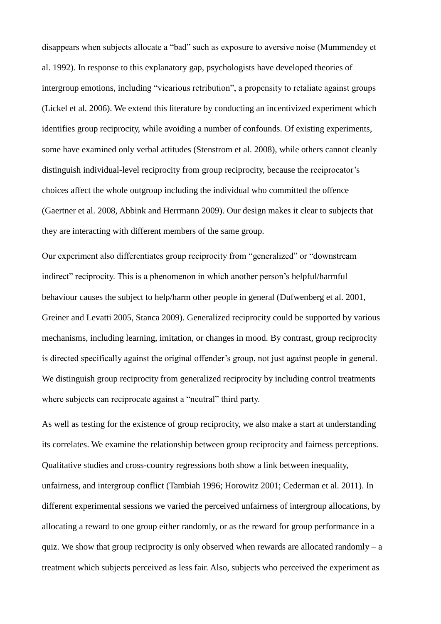disappears when subjects allocate a "bad" such as exposure to aversive noise (Mummendey et al. 1992). In response to this explanatory gap, psychologists have developed theories of intergroup emotions, including "vicarious retribution", a propensity to retaliate against groups (Lickel et al. 2006). We extend this literature by conducting an incentivized experiment which identifies group reciprocity, while avoiding a number of confounds. Of existing experiments, some have examined only verbal attitudes (Stenstrom et al. 2008), while others cannot cleanly distinguish individual-level reciprocity from group reciprocity, because the reciprocator's choices affect the whole outgroup including the individual who committed the offence (Gaertner et al. 2008, Abbink and Herrmann 2009). Our design makes it clear to subjects that they are interacting with different members of the same group.

Our experiment also differentiates group reciprocity from "generalized" or "downstream indirect" reciprocity. This is a phenomenon in which another person's helpful/harmful behaviour causes the subject to help/harm other people in general (Dufwenberg et al. 2001, Greiner and Levatti 2005, Stanca 2009). Generalized reciprocity could be supported by various mechanisms, including learning, imitation, or changes in mood. By contrast, group reciprocity is directed specifically against the original offender's group, not just against people in general. We distinguish group reciprocity from generalized reciprocity by including control treatments where subjects can reciprocate against a "neutral" third party.

As well as testing for the existence of group reciprocity, we also make a start at understanding its correlates. We examine the relationship between group reciprocity and fairness perceptions. Qualitative studies and cross-country regressions both show a link between inequality, unfairness, and intergroup conflict (Tambiah 1996; Horowitz 2001; Cederman et al. 2011). In different experimental sessions we varied the perceived unfairness of intergroup allocations, by allocating a reward to one group either randomly, or as the reward for group performance in a quiz. We show that group reciprocity is only observed when rewards are allocated randomly – a treatment which subjects perceived as less fair. Also, subjects who perceived the experiment as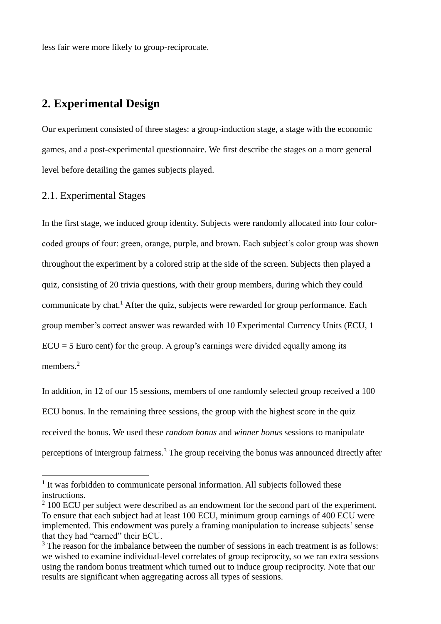less fair were more likely to group-reciprocate.

# **2. Experimental Design**

Our experiment consisted of three stages: a group-induction stage, a stage with the economic games, and a post-experimental questionnaire. We first describe the stages on a more general level before detailing the games subjects played.

#### 2.1. Experimental Stages

1

In the first stage, we induced group identity. Subjects were randomly allocated into four colorcoded groups of four: green, orange, purple, and brown. Each subject's color group was shown throughout the experiment by a colored strip at the side of the screen. Subjects then played a quiz, consisting of 20 trivia questions, with their group members, during which they could communicate by chat.<sup>1</sup> After the quiz, subjects were rewarded for group performance. Each group member's correct answer was rewarded with 10 Experimental Currency Units (ECU, 1  $ECU = 5$  Euro cent) for the group. A group's earnings were divided equally among its members.<sup>2</sup>

In addition, in 12 of our 15 sessions, members of one randomly selected group received a 100 ECU bonus. In the remaining three sessions, the group with the highest score in the quiz received the bonus. We used these *random bonus* and *winner bonus* sessions to manipulate perceptions of intergroup fairness.<sup>3</sup> The group receiving the bonus was announced directly after

<sup>&</sup>lt;sup>1</sup> It was forbidden to communicate personal information. All subjects followed these instructions.

 $2$  100 ECU per subject were described as an endowment for the second part of the experiment. To ensure that each subject had at least 100 ECU, minimum group earnings of 400 ECU were implemented. This endowment was purely a framing manipulation to increase subjects' sense that they had "earned" their ECU.

<sup>&</sup>lt;sup>3</sup> The reason for the imbalance between the number of sessions in each treatment is as follows: we wished to examine individual-level correlates of group reciprocity, so we ran extra sessions using the random bonus treatment which turned out to induce group reciprocity. Note that our results are significant when aggregating across all types of sessions.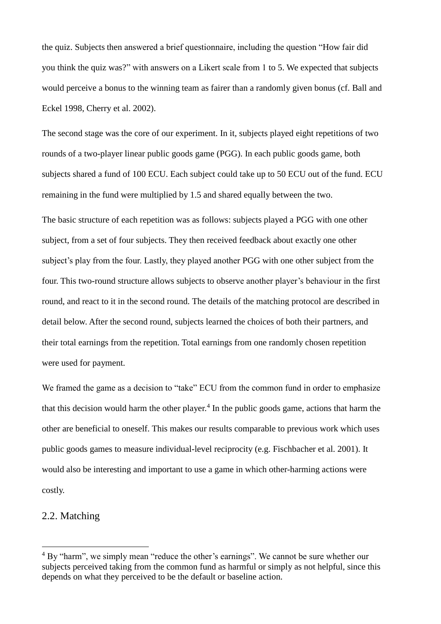the quiz. Subjects then answered a brief questionnaire, including the question "How fair did you think the quiz was?" with answers on a Likert scale from 1 to 5. We expected that subjects would perceive a bonus to the winning team as fairer than a randomly given bonus (cf. Ball and Eckel 1998, Cherry et al. 2002).

The second stage was the core of our experiment. In it, subjects played eight repetitions of two rounds of a two-player linear public goods game (PGG). In each public goods game, both subjects shared a fund of 100 ECU. Each subject could take up to 50 ECU out of the fund. ECU remaining in the fund were multiplied by 1.5 and shared equally between the two.

The basic structure of each repetition was as follows: subjects played a PGG with one other subject, from a set of four subjects. They then received feedback about exactly one other subject's play from the four. Lastly, they played another PGG with one other subject from the four. This two-round structure allows subjects to observe another player's behaviour in the first round, and react to it in the second round. The details of the matching protocol are described in detail below. After the second round, subjects learned the choices of both their partners, and their total earnings from the repetition. Total earnings from one randomly chosen repetition were used for payment.

We framed the game as a decision to "take" ECU from the common fund in order to emphasize that this decision would harm the other player.<sup>4</sup> In the public goods game, actions that harm the other are beneficial to oneself. This makes our results comparable to previous work which uses public goods games to measure individual-level reciprocity (e.g. Fischbacher et al. 2001). It would also be interesting and important to use a game in which other-harming actions were costly.

### 2.2. Matching

1

<sup>&</sup>lt;sup>4</sup> By "harm", we simply mean "reduce the other's earnings". We cannot be sure whether our subjects perceived taking from the common fund as harmful or simply as not helpful, since this depends on what they perceived to be the default or baseline action.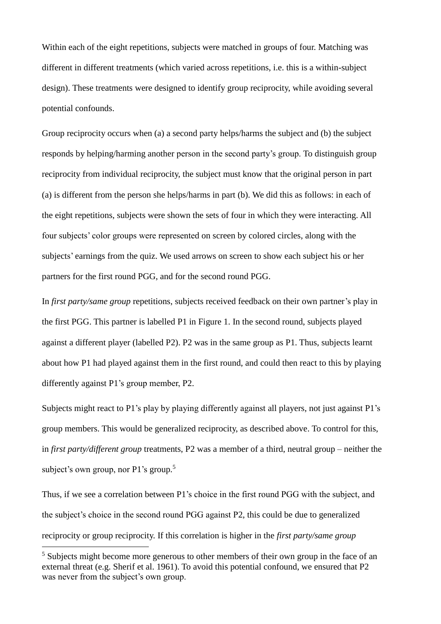Within each of the eight repetitions, subjects were matched in groups of four. Matching was different in different treatments (which varied across repetitions, i.e. this is a within-subject design). These treatments were designed to identify group reciprocity, while avoiding several potential confounds.

Group reciprocity occurs when (a) a second party helps/harms the subject and (b) the subject responds by helping/harming another person in the second party's group. To distinguish group reciprocity from individual reciprocity, the subject must know that the original person in part (a) is different from the person she helps/harms in part (b). We did this as follows: in each of the eight repetitions, subjects were shown the sets of four in which they were interacting. All four subjects' color groups were represented on screen by colored circles, along with the subjects' earnings from the quiz. We used arrows on screen to show each subject his or her partners for the first round PGG, and for the second round PGG.

In *first party/same group* repetitions, subjects received feedback on their own partner's play in the first PGG. This partner is labelled P1 in Figure 1. In the second round, subjects played against a different player (labelled P2). P2 was in the same group as P1. Thus, subjects learnt about how P1 had played against them in the first round, and could then react to this by playing differently against P1's group member, P2.

Subjects might react to P1's play by playing differently against all players, not just against P1's group members. This would be generalized reciprocity, as described above. To control for this, in *first party/different group* treatments, P2 was a member of a third, neutral group – neither the subject's own group, nor P1's group.<sup>5</sup>

Thus, if we see a correlation between P1's choice in the first round PGG with the subject, and the subject's choice in the second round PGG against P2, this could be due to generalized reciprocity or group reciprocity. If this correlation is higher in the *first party/same group*

1

<sup>&</sup>lt;sup>5</sup> Subjects might become more generous to other members of their own group in the face of an external threat (e.g. Sherif et al. 1961). To avoid this potential confound, we ensured that P2 was never from the subject's own group.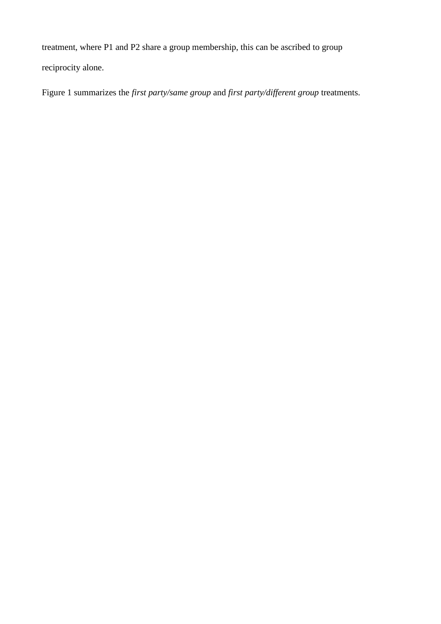treatment, where P1 and P2 share a group membership, this can be ascribed to group reciprocity alone.

Figure 1 summarizes the *first party/same group* and *first party/different group* treatments.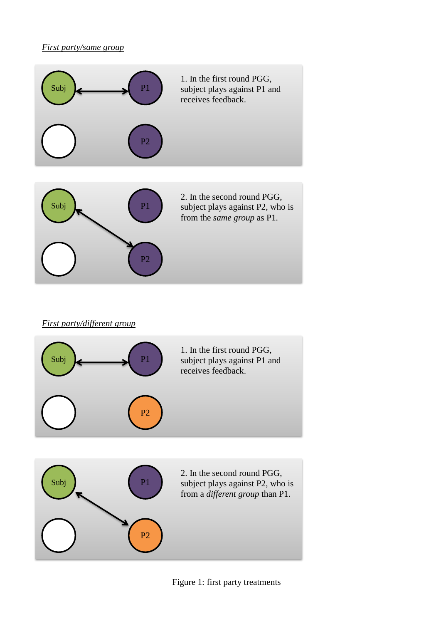### *First party/same group*



## *First party/different group*

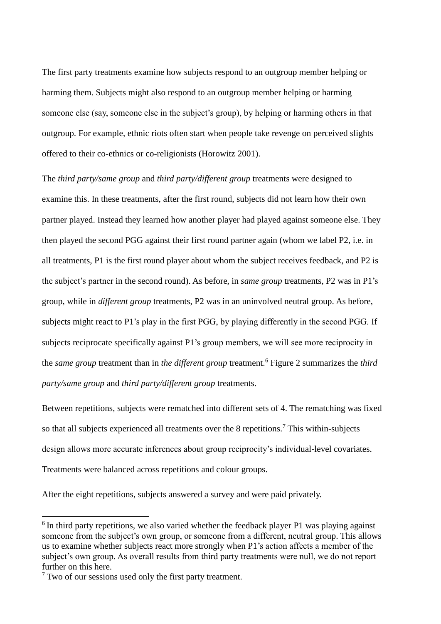The first party treatments examine how subjects respond to an outgroup member helping or harming them. Subjects might also respond to an outgroup member helping or harming someone else (say, someone else in the subject's group), by helping or harming others in that outgroup. For example, ethnic riots often start when people take revenge on perceived slights offered to their co-ethnics or co-religionists (Horowitz 2001).

The *third party/same group* and *third party/different group* treatments were designed to examine this. In these treatments, after the first round, subjects did not learn how their own partner played. Instead they learned how another player had played against someone else. They then played the second PGG against their first round partner again (whom we label P2, i.e. in all treatments, P1 is the first round player about whom the subject receives feedback, and P2 is the subject's partner in the second round). As before, in *same group* treatments, P2 was in P1's group, while in *different group* treatments, P2 was in an uninvolved neutral group. As before, subjects might react to P1's play in the first PGG, by playing differently in the second PGG. If subjects reciprocate specifically against P1's group members, we will see more reciprocity in the *same group* treatment than in *the different group* treatment.<sup>6</sup> Figure 2 summarizes the *third party/same group* and *third party/different group* treatments.

Between repetitions, subjects were rematched into different sets of 4. The rematching was fixed so that all subjects experienced all treatments over the 8 repetitions.<sup>7</sup> This within-subjects design allows more accurate inferences about group reciprocity's individual-level covariates. Treatments were balanced across repetitions and colour groups.

After the eight repetitions, subjects answered a survey and were paid privately.

<u>.</u>

<sup>&</sup>lt;sup>6</sup> In third party repetitions, we also varied whether the feedback player P1 was playing against someone from the subject's own group, or someone from a different, neutral group. This allows us to examine whether subjects react more strongly when P1's action affects a member of the subject's own group. As overall results from third party treatments were null, we do not report further on this here.

 $7$  Two of our sessions used only the first party treatment.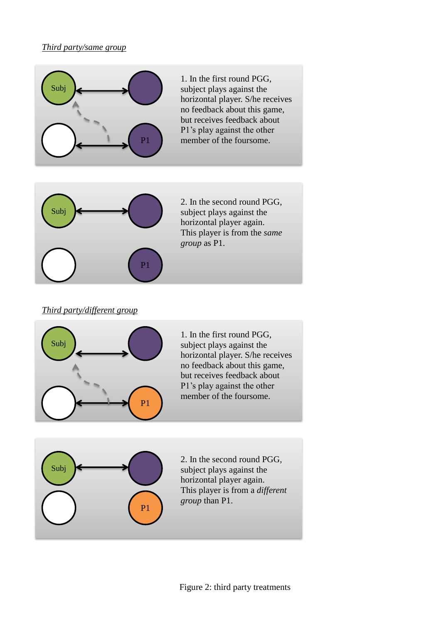### *Third party/same group*



1. In the first round PGG, subject plays against the horizontal player. S/he receives no feedback about this game, but receives feedback about P1's play against the other member of the foursome.



2. In the second round PGG, subject plays against the horizontal player again. This player is from the *same group* as P1.

#### *Third party/different group*



1. In the first round PGG, subject plays against the horizontal player. S/he receives no feedback about this game, but receives feedback about P1's play against the other member of the foursome.



2. In the second round PGG, subject plays against the horizontal player again. This player is from a *different group* than P1.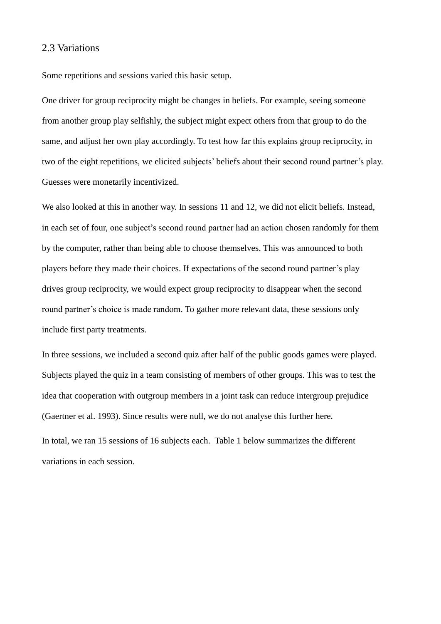#### 2.3 Variations

Some repetitions and sessions varied this basic setup.

One driver for group reciprocity might be changes in beliefs. For example, seeing someone from another group play selfishly, the subject might expect others from that group to do the same, and adjust her own play accordingly. To test how far this explains group reciprocity, in two of the eight repetitions, we elicited subjects' beliefs about their second round partner's play. Guesses were monetarily incentivized.

We also looked at this in another way. In sessions 11 and 12, we did not elicit beliefs. Instead, in each set of four, one subject's second round partner had an action chosen randomly for them by the computer, rather than being able to choose themselves. This was announced to both players before they made their choices. If expectations of the second round partner's play drives group reciprocity, we would expect group reciprocity to disappear when the second round partner's choice is made random. To gather more relevant data, these sessions only include first party treatments.

In three sessions, we included a second quiz after half of the public goods games were played. Subjects played the quiz in a team consisting of members of other groups. This was to test the idea that cooperation with outgroup members in a joint task can reduce intergroup prejudice (Gaertner et al. 1993). Since results were null, we do not analyse this further here.

In total, we ran 15 sessions of 16 subjects each. Table 1 below summarizes the different variations in each session.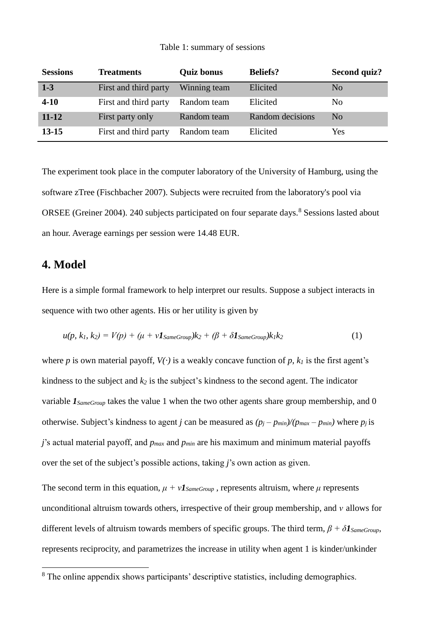#### Table 1: summary of sessions

| <b>Sessions</b> | <b>Treatments</b>     | <b>Quiz bonus</b> | <b>Beliefs?</b>  | Second quiz?   |
|-----------------|-----------------------|-------------------|------------------|----------------|
| $1-3$           | First and third party | Winning team      | Elicited         | No             |
| $4 - 10$        | First and third party | Random team       | Elicited         | No             |
| $11 - 12$       | First party only      | Random team       | Random decisions | N <sub>0</sub> |
| $13 - 15$       | First and third party | Random team       | Elicited         | <b>Yes</b>     |

The experiment took place in the computer laboratory of the University of Hamburg, using the software zTree (Fischbacher 2007). Subjects were recruited from the laboratory's pool via ORSEE (Greiner 2004). 240 subjects participated on four separate days.<sup>8</sup> Sessions lasted about an hour. Average earnings per session were 14.48 EUR.

# **4. Model**

<u>.</u>

Here is a simple formal framework to help interpret our results. Suppose a subject interacts in sequence with two other agents. His or her utility is given by

$$
u(p, k_1, k_2) = V(p) + (\mu + v \mathbf{1}_{SameGroup})k_2 + (\beta + \delta \mathbf{1}_{SameGroup})k_1k_2
$$
\n(1)

where *p* is own material payoff,  $V(\cdot)$  is a weakly concave function of *p*,  $k_l$  is the first agent's kindness to the subject and *k<sup>2</sup>* is the subject's kindness to the second agent. The indicator variable *1SameGroup* takes the value 1 when the two other agents share group membership, and 0 otherwise. Subject's kindness to agent *j* can be measured as  $(p_j - p_{min})/(p_{max} - p_{min})$  where  $p_j$  is *j*'s actual material payoff, and *pmax* and *pmin* are his maximum and minimum material payoffs over the set of the subject's possible actions, taking *j*'s own action as given.

The second term in this equation,  $\mu + vI_{SameGroup}$ , represents altruism, where  $\mu$  represents unconditional altruism towards others, irrespective of their group membership, and *ν* allows for different levels of altruism towards members of specific groups. The third term, *β + δ1SameGroup*, represents reciprocity, and parametrizes the increase in utility when agent 1 is kinder/unkinder

<sup>&</sup>lt;sup>8</sup> The online appendix shows participants' descriptive statistics, including demographics.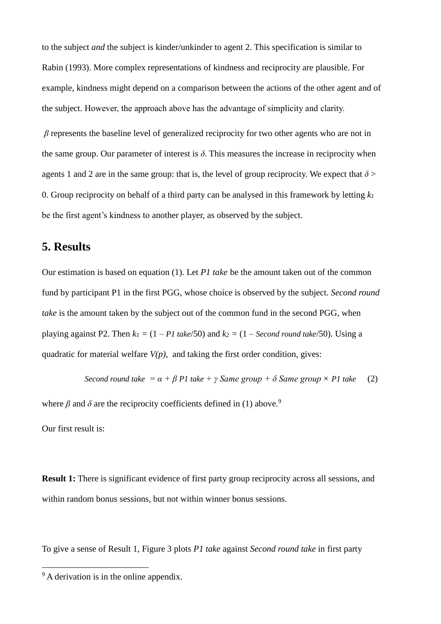to the subject *and* the subject is kinder/unkinder to agent 2. This specification is similar to Rabin (1993). More complex representations of kindness and reciprocity are plausible. For example, kindness might depend on a comparison between the actions of the other agent and of the subject. However, the approach above has the advantage of simplicity and clarity.

*β* represents the baseline level of generalized reciprocity for two other agents who are not in the same group. Our parameter of interest is  $\delta$ . This measures the increase in reciprocity when agents 1 and 2 are in the same group: that is, the level of group reciprocity. We expect that  $\delta$  > 0. Group reciprocity on behalf of a third party can be analysed in this framework by letting *k<sup>1</sup>* be the first agent's kindness to another player, as observed by the subject.

## **5. Results**

Our estimation is based on equation (1). Let *P1 take* be the amount taken out of the common fund by participant P1 in the first PGG, whose choice is observed by the subject. *Second round take* is the amount taken by the subject out of the common fund in the second PGG, when playing against P2. Then  $k_1 = (1 - P1$  take/50) and  $k_2 = (1 - Second$  *round take/50*). Using a quadratic for material welfare  $V(p)$ , and taking the first order condition, gives:

Second round take = 
$$
\alpha + \beta Pl
$$
 take +  $\gamma$  Same group +  $\delta$  Same group × *Pl* take (2)

where  $\beta$  and  $\delta$  are the reciprocity coefficients defined in (1) above.<sup>9</sup>

Our first result is:

<u>.</u>

**Result 1:** There is significant evidence of first party group reciprocity across all sessions, and within random bonus sessions, but not within winner bonus sessions.

To give a sense of Result 1, Figure 3 plots *P1 take* against *Second round take* in first party

<sup>&</sup>lt;sup>9</sup> A derivation is in the online appendix.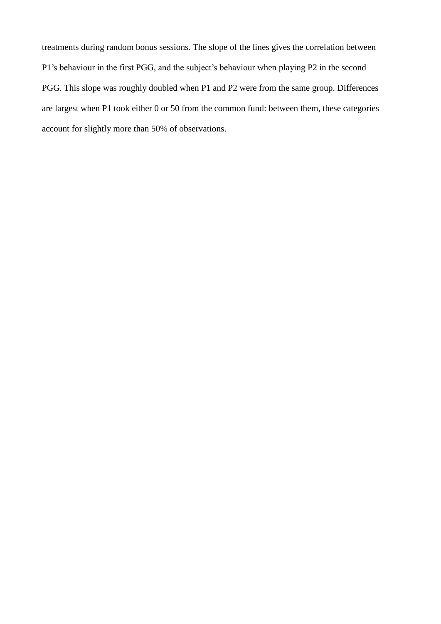treatments during random bonus sessions. The slope of the lines gives the correlation between P1's behaviour in the first PGG, and the subject's behaviour when playing P2 in the second PGG. This slope was roughly doubled when P1 and P2 were from the same group. Differences are largest when P1 took either 0 or 50 from the common fund: between them, these categories account for slightly more than 50% of observations.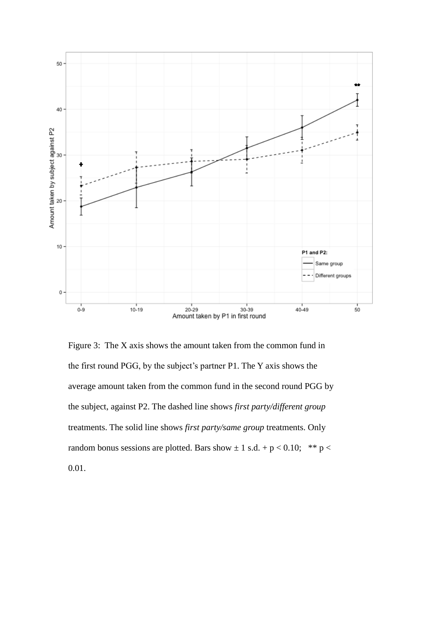

Figure 3: The X axis shows the amount taken from the common fund in the first round PGG, by the subject's partner P1. The Y axis shows the average amount taken from the common fund in the second round PGG by the subject, against P2. The dashed line shows *first party/different group* treatments. The solid line shows *first party/same group* treatments. Only random bonus sessions are plotted. Bars show  $\pm 1$  s.d. + p < 0.10; \*\* p < 0.01.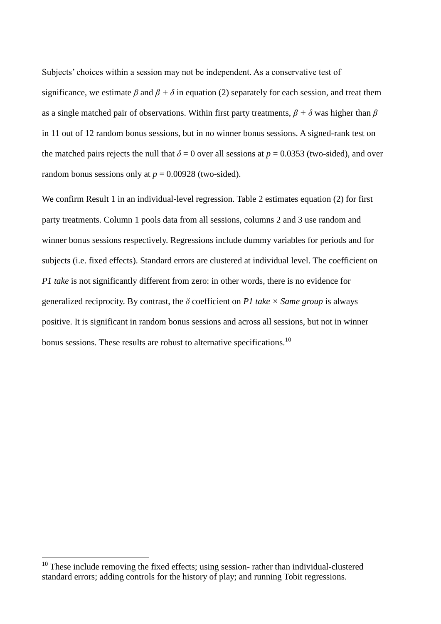Subjects' choices within a session may not be independent. As a conservative test of significance, we estimate  $\beta$  and  $\beta + \delta$  in equation (2) separately for each session, and treat them as a single matched pair of observations. Within first party treatments,  $\beta + \delta$  was higher than  $\beta$ in 11 out of 12 random bonus sessions, but in no winner bonus sessions. A signed-rank test on the matched pairs rejects the null that  $\delta = 0$  over all sessions at  $p = 0.0353$  (two-sided), and over random bonus sessions only at  $p = 0.00928$  (two-sided).

We confirm Result 1 in an individual-level regression. Table 2 estimates equation (2) for first party treatments. Column 1 pools data from all sessions, columns 2 and 3 use random and winner bonus sessions respectively. Regressions include dummy variables for periods and for subjects (i.e. fixed effects). Standard errors are clustered at individual level. The coefficient on *P1 take* is not significantly different from zero: in other words, there is no evidence for generalized reciprocity. By contrast, the  $\delta$  coefficient on *P1 take*  $\times$  *Same group* is always positive. It is significant in random bonus sessions and across all sessions, but not in winner bonus sessions. These results are robust to alternative specifications.<sup>10</sup>

1

 $10$  These include removing the fixed effects; using session-rather than individual-clustered standard errors; adding controls for the history of play; and running Tobit regressions.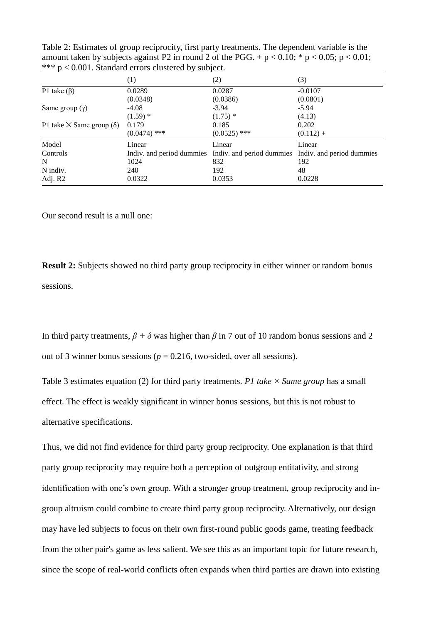Table 2: Estimates of group reciprocity, first party treatments. The dependent variable is the amount taken by subjects against P2 in round 2 of the PGG. +  $p < 0.10$ ; \*  $p < 0.05$ ;  $p < 0.01$ ; \*\*\* p < 0.001. Standard errors clustered by subject.

|                                          | $\left(1\right)$ | (2)                                                                           | (3)         |
|------------------------------------------|------------------|-------------------------------------------------------------------------------|-------------|
| P1 take $(\beta)$                        | 0.0289           | 0.0287                                                                        | $-0.0107$   |
|                                          | (0.0348)         | (0.0386)                                                                      | (0.0801)    |
| Same group $(\gamma)$                    | $-4.08$          | $-3.94$                                                                       | $-5.94$     |
|                                          | $(1.59)$ *       | $(1.75)$ *                                                                    | (4.13)      |
| P1 take $\times$ Same group ( $\delta$ ) | 0.179            | 0.185                                                                         | 0.202       |
|                                          | $(0.0474)$ ***   | $(0.0525)$ ***                                                                | $(0.112) +$ |
| Model                                    | Linear           | Linear                                                                        | Linear      |
| Controls                                 |                  | Indiv. and period dummies Indiv. and period dummies Indiv. and period dummies |             |
| N                                        | 1024             | 832                                                                           | 192         |
| N indiv.                                 | 240              | 192                                                                           | 48          |
| Adj. R2                                  | 0.0322           | 0.0353                                                                        | 0.0228      |

Our second result is a null one:

**Result 2:** Subjects showed no third party group reciprocity in either winner or random bonus sessions.

In third party treatments,  $\beta + \delta$  was higher than  $\beta$  in 7 out of 10 random bonus sessions and 2 out of 3 winner bonus sessions ( $p = 0.216$ , two-sided, over all sessions).

Table 3 estimates equation (2) for third party treatments. *P1 take × Same group* has a small effect. The effect is weakly significant in winner bonus sessions, but this is not robust to alternative specifications.

Thus, we did not find evidence for third party group reciprocity. One explanation is that third party group reciprocity may require both a perception of outgroup entitativity, and strong identification with one's own group. With a stronger group treatment, group reciprocity and ingroup altruism could combine to create third party group reciprocity. Alternatively, our design may have led subjects to focus on their own first-round public goods game, treating feedback from the other pair's game as less salient. We see this as an important topic for future research, since the scope of real-world conflicts often expands when third parties are drawn into existing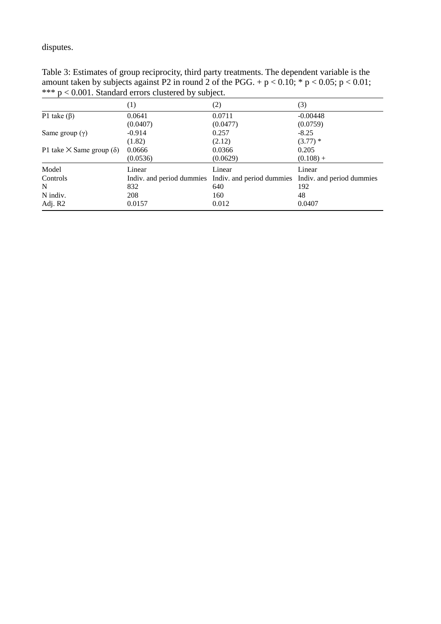disputes.

Table 3: Estimates of group reciprocity, third party treatments. The dependent variable is the amount taken by subjects against P2 in round 2 of the PGG. +  $p < 0.10$ ; \*  $p < 0.05$ ;  $p < 0.01$ ; \*\*\* p < 0.001. Standard errors clustered by subject.

|                                          | $\left(1\right)$ | (2)                                                 | (3)                       |
|------------------------------------------|------------------|-----------------------------------------------------|---------------------------|
| P1 take $(\beta)$                        | 0.0641           | 0.0711                                              | $-0.00448$                |
|                                          | (0.0407)         | (0.0477)                                            | (0.0759)                  |
| Same group $(\gamma)$                    | $-0.914$         | 0.257                                               | $-8.25$                   |
|                                          | (1.82)           | (2.12)                                              | $(3.77)$ *                |
| P1 take $\times$ Same group ( $\delta$ ) | 0.0666           | 0.0366                                              | 0.205                     |
|                                          | (0.0536)         | (0.0629)                                            | $(0.108) +$               |
| Model                                    | Linear           | Linear                                              | Linear                    |
| Controls                                 |                  | Indiv. and period dummies Indiv. and period dummies | Indiv. and period dummies |
| N                                        | 832              | 640                                                 | 192                       |
| N indiv.                                 | 208              | 160                                                 | 48                        |
| Adj. R2                                  | 0.0157           | 0.012                                               | 0.0407                    |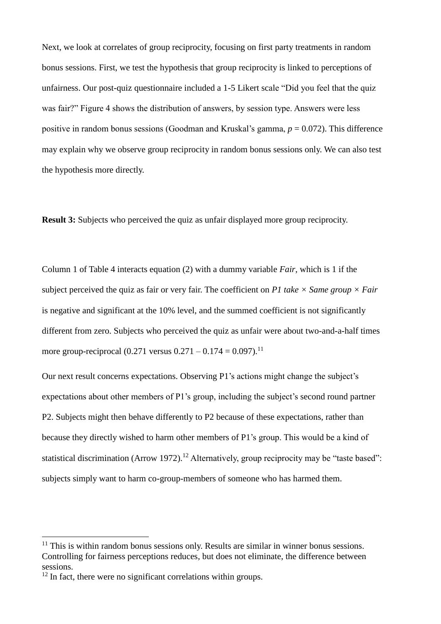Next, we look at correlates of group reciprocity, focusing on first party treatments in random bonus sessions. First, we test the hypothesis that group reciprocity is linked to perceptions of unfairness. Our post-quiz questionnaire included a 1-5 Likert scale "Did you feel that the quiz was fair?" Figure 4 shows the distribution of answers, by session type. Answers were less positive in random bonus sessions (Goodman and Kruskal's gamma, *p* = 0.072). This difference may explain why we observe group reciprocity in random bonus sessions only. We can also test the hypothesis more directly.

**Result 3:** Subjects who perceived the quiz as unfair displayed more group reciprocity.

Column 1 of Table 4 interacts equation (2) with a dummy variable *Fair*, which is 1 if the subject perceived the quiz as fair or very fair. The coefficient on *P1* take  $\times$  *Same group*  $\times$  *Fair* is negative and significant at the 10% level, and the summed coefficient is not significantly different from zero. Subjects who perceived the quiz as unfair were about two-and-a-half times more group-reciprocal  $(0.271 \text{ versus } 0.271 - 0.174 = 0.097)$ .<sup>11</sup>

Our next result concerns expectations. Observing P1's actions might change the subject's expectations about other members of P1's group, including the subject's second round partner P2. Subjects might then behave differently to P2 because of these expectations, rather than because they directly wished to harm other members of P1's group. This would be a kind of statistical discrimination (Arrow 1972).<sup>12</sup> Alternatively, group reciprocity may be "taste based": subjects simply want to harm co-group-members of someone who has harmed them.

1

 $<sup>11</sup>$  This is within random bonus sessions only. Results are similar in winner bonus sessions.</sup> Controlling for fairness perceptions reduces, but does not eliminate, the difference between sessions.

 $12$  In fact, there were no significant correlations within groups.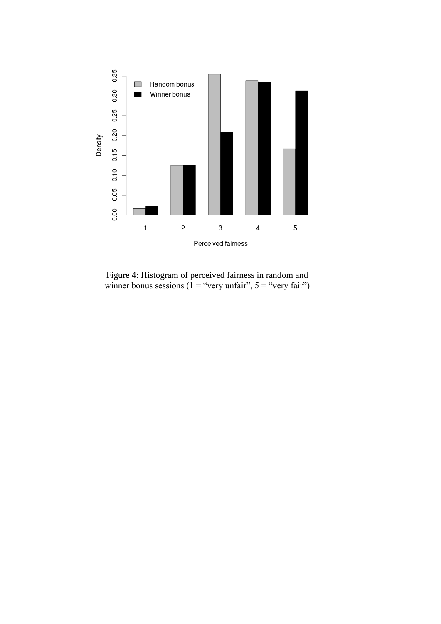

Figure 4: Histogram of perceived fairness in random and winner bonus sessions (1 = "very unfair",  $5 =$  "very fair")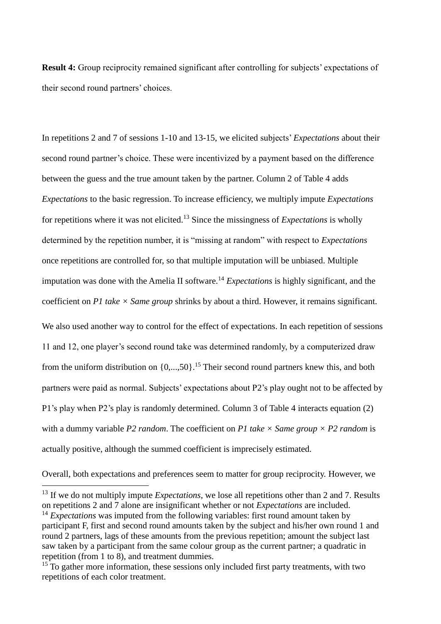**Result 4:** Group reciprocity remained significant after controlling for subjects' expectations of their second round partners' choices.

In repetitions 2 and 7 of sessions 1-10 and 13-15, we elicited subjects' *Expectations* about their second round partner's choice. These were incentivized by a payment based on the difference between the guess and the true amount taken by the partner. Column 2 of Table 4 adds *Expectations* to the basic regression. To increase efficiency, we multiply impute *Expectations* for repetitions where it was not elicited.<sup>13</sup> Since the missingness of *Expectations* is wholly determined by the repetition number, it is "missing at random" with respect to *Expectations* once repetitions are controlled for, so that multiple imputation will be unbiased. Multiple imputation was done with the Amelia II software.<sup>14</sup> *Expectations* is highly significant, and the coefficient on *P1 take × Same group* shrinks by about a third. However, it remains significant. We also used another way to control for the effect of expectations. In each repetition of sessions 11 and 12, one player's second round take was determined randomly, by a computerized draw

from the uniform distribution on  $\{0, \ldots, 50\}$ .<sup>15</sup> Their second round partners knew this, and both partners were paid as normal. Subjects' expectations about P2's play ought not to be affected by P1's play when P2's play is randomly determined. Column 3 of Table 4 interacts equation (2) with a dummy variable *P2 random*. The coefficient on *P1 take*  $\times$  *Same group*  $\times$  *P2 random* is actually positive, although the summed coefficient is imprecisely estimated.

Overall, both expectations and preferences seem to matter for group reciprocity. However, we

1

<sup>&</sup>lt;sup>13</sup> If we do not multiply impute *Expectations*, we lose all repetitions other than 2 and 7. Results on repetitions 2 and 7 alone are insignificant whether or not *Expectations* are included. <sup>14</sup> *Expectations* was imputed from the following variables: first round amount taken by participant F, first and second round amounts taken by the subject and his/her own round 1 and round 2 partners, lags of these amounts from the previous repetition; amount the subject last saw taken by a participant from the same colour group as the current partner; a quadratic in repetition (from 1 to 8), and treatment dummies.

 $15$  To gather more information, these sessions only included first party treatments, with two repetitions of each color treatment.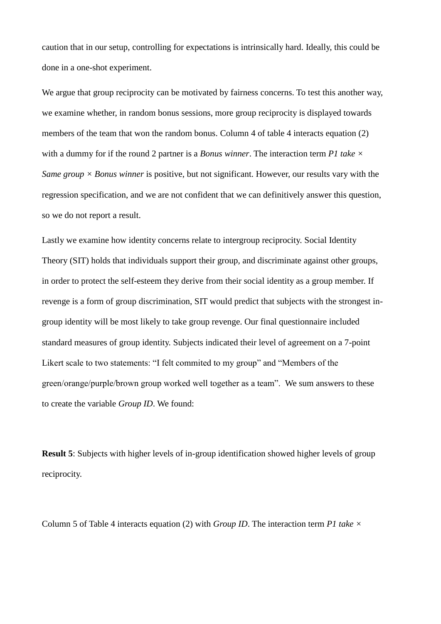caution that in our setup, controlling for expectations is intrinsically hard. Ideally, this could be done in a one-shot experiment.

We argue that group reciprocity can be motivated by fairness concerns. To test this another way, we examine whether, in random bonus sessions, more group reciprocity is displayed towards members of the team that won the random bonus. Column 4 of table 4 interacts equation (2) with a dummy for if the round 2 partner is a *Bonus winner*. The interaction term *P1 take × Same group*  $\times$  *Bonus winner* is positive, but not significant. However, our results vary with the regression specification, and we are not confident that we can definitively answer this question, so we do not report a result.

Lastly we examine how identity concerns relate to intergroup reciprocity. Social Identity Theory (SIT) holds that individuals support their group, and discriminate against other groups, in order to protect the self-esteem they derive from their social identity as a group member. If revenge is a form of group discrimination, SIT would predict that subjects with the strongest ingroup identity will be most likely to take group revenge. Our final questionnaire included standard measures of group identity. Subjects indicated their level of agreement on a 7-point Likert scale to two statements: "I felt commited to my group" and "Members of the green/orange/purple/brown group worked well together as a team". We sum answers to these to create the variable *Group ID*. We found:

**Result 5**: Subjects with higher levels of in-group identification showed higher levels of group reciprocity.

Column 5 of Table 4 interacts equation (2) with *Group ID*. The interaction term *P1 take ×*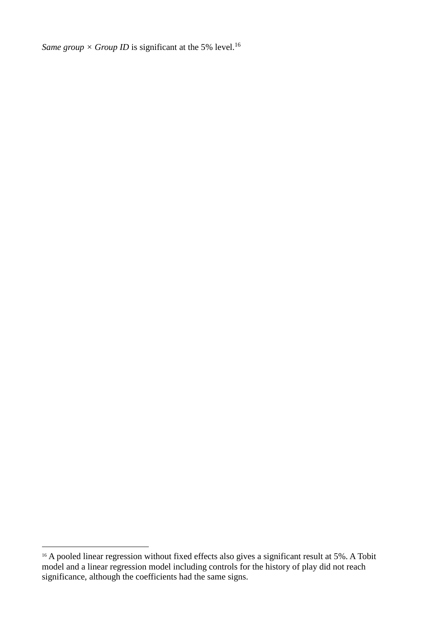*Same group*  $\times$  *Group ID* is significant at the 5% level.<sup>16</sup>

1

<sup>&</sup>lt;sup>16</sup> A pooled linear regression without fixed effects also gives a significant result at 5%. A Tobit model and a linear regression model including controls for the history of play did not reach significance, although the coefficients had the same signs.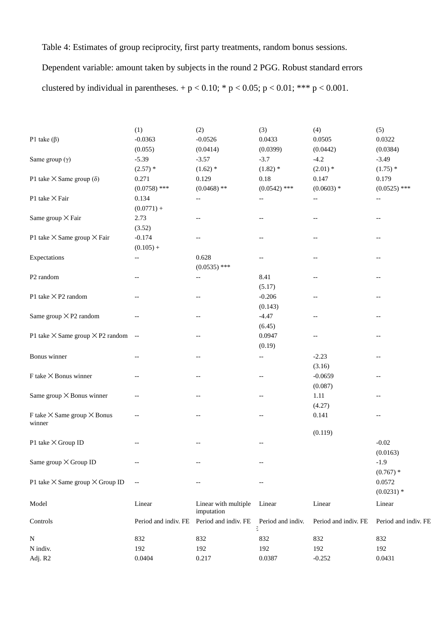Table 4: Estimates of group reciprocity, first party treatments, random bonus sessions.

Dependent variable: amount taken by subjects in the round 2 PGG. Robust standard errors clustered by individual in parentheses. + p < 0.10; \* p < 0.05; p < 0.01; \*\*\* p < 0.001.

|                                                   | (1)                      | (2)                                | (3)                                                 | (4)                  | (5)                                                 |
|---------------------------------------------------|--------------------------|------------------------------------|-----------------------------------------------------|----------------------|-----------------------------------------------------|
| P1 take $(\beta)$                                 | $-0.0363$                | $-0.0526$                          | 0.0433                                              | 0.0505               | 0.0322                                              |
|                                                   | (0.055)                  | (0.0414)                           | (0.0399)                                            | (0.0442)             | (0.0384)                                            |
| Same group $(\gamma)$                             | $-5.39$                  | $-3.57$                            | $-3.7$                                              | $-4.2$               | $-3.49$                                             |
|                                                   | $(2.57)$ *               | $(1.62)$ *                         | $(1.82)$ *                                          | $(2.01)$ *           | $(1.75)$ *                                          |
| P1 take $\times$ Same group ( $\delta$ )          | 0.271                    | 0.129                              | 0.18                                                | 0.147                | 0.179                                               |
|                                                   | $(0.0758)$ ***           | $(0.0468)$ **                      | $(0.0542)$ ***                                      | $(0.0603)$ *         | $(0.0525)$ ***                                      |
| P1 take × Fair                                    | 0.134                    | $-\, -$                            | $-\, -$                                             | $- -$                | $-\, -$                                             |
|                                                   | $(0.0771) +$             |                                    |                                                     |                      |                                                     |
| Same group × Fair                                 | 2.73                     | $\qquad \qquad -$                  | $-\,-$                                              | $-\, -$              | $-\,-$                                              |
|                                                   | (3.52)                   |                                    |                                                     |                      |                                                     |
| P1 take $\times$ Same group $\times$ Fair         | $-0.174$                 | $-\, -$                            | $\hspace{0.05cm} -\hspace{0.05cm} -\hspace{0.05cm}$ | $-$                  |                                                     |
|                                                   | $(0.105) +$              |                                    |                                                     |                      |                                                     |
| Expectations                                      | --                       | 0.628                              | $-\,-$                                              | $-\, -$              | $-$                                                 |
|                                                   |                          | $(0.0535)$ ***                     |                                                     |                      |                                                     |
| P <sub>2</sub> random                             | $-$                      | $-\, -$                            | 8.41                                                | $-\, -$              | $\hspace{0.05cm} -\hspace{0.05cm} -\hspace{0.05cm}$ |
|                                                   |                          |                                    | (5.17)                                              |                      |                                                     |
| P1 take $\times$ P2 random                        | $-$                      | $-\, -$                            | $-0.206$                                            | --                   | $-\,-$                                              |
|                                                   |                          |                                    | (0.143)                                             |                      |                                                     |
| Same group $\times$ P2 random                     | $\qquad \qquad -$        | $\qquad \qquad -$                  | $-4.47$                                             | $-\, -$              | $-\,-$                                              |
|                                                   |                          |                                    | (6.45)                                              |                      |                                                     |
| P1 take $\times$ Same group $\times$ P2 random -- |                          | $-$                                | 0.0947                                              | $-\,-$               |                                                     |
|                                                   |                          |                                    | (0.19)                                              |                      |                                                     |
| Bonus winner                                      | $\qquad \qquad -$        | $\qquad \qquad -$                  | $-\,-$                                              | $-2.23$              | $\overline{\phantom{m}}$                            |
|                                                   |                          |                                    |                                                     | (3.16)               |                                                     |
| F take $\times$ Bonus winner                      | $-$                      | $-$                                | $-$                                                 | $-0.0659$            | $-$                                                 |
|                                                   |                          |                                    |                                                     | (0.087)              |                                                     |
| Same group × Bonus winner                         | $-$                      |                                    | $\hspace{0.05cm} -\hspace{0.05cm} -\hspace{0.05cm}$ | 1.11                 |                                                     |
|                                                   |                          |                                    |                                                     | (4.27)               |                                                     |
| F take $\times$ Same group $\times$ Bonus         |                          |                                    |                                                     | 0.141                | --                                                  |
| winner                                            |                          |                                    |                                                     |                      |                                                     |
|                                                   |                          |                                    |                                                     | (0.119)              |                                                     |
| P1 take $\times$ Group ID                         |                          |                                    |                                                     |                      | $-0.02$                                             |
|                                                   |                          |                                    |                                                     |                      | (0.0163)                                            |
| Same group × Group ID                             | --                       | $-\, -$                            | $-\,-$                                              |                      | $-1.9$                                              |
|                                                   |                          |                                    |                                                     |                      | $(0.767)$ *                                         |
| P1 take $\times$ Same group $\times$ Group ID     | $\overline{\phantom{a}}$ |                                    |                                                     |                      | 0.0572                                              |
|                                                   |                          |                                    |                                                     |                      | $(0.0231)$ *                                        |
| Model                                             | Linear                   | Linear with multiple<br>imputation | Linear                                              | Linear               | Linear                                              |
| Controls                                          | Period and indiv. FE     | Period and indiv. FE               | Period and indiv.<br>3                              | Period and indiv. FE | Period and indiv. FE                                |
| ${\bf N}$                                         | 832                      | 832                                | 832                                                 | 832                  | 832                                                 |
| N indiv.                                          | 192                      | 192                                | 192                                                 | 192                  | 192                                                 |
| Adj. R2                                           | 0.0404                   | 0.217                              | 0.0387                                              | $-0.252$             | 0.0431                                              |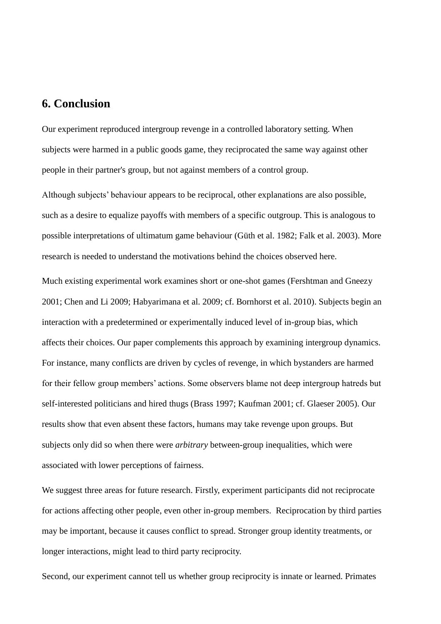## **6. Conclusion**

Our experiment reproduced intergroup revenge in a controlled laboratory setting. When subjects were harmed in a public goods game, they reciprocated the same way against other people in their partner's group, but not against members of a control group.

Although subjects' behaviour appears to be reciprocal, other explanations are also possible, such as a desire to equalize payoffs with members of a specific outgroup. This is analogous to possible interpretations of ultimatum game behaviour (Güth et al. 1982; Falk et al. 2003). More research is needed to understand the motivations behind the choices observed here.

Much existing experimental work examines short or one-shot games (Fershtman and Gneezy 2001; Chen and Li 2009; Habyarimana et al. 2009; cf. Bornhorst et al. 2010). Subjects begin an interaction with a predetermined or experimentally induced level of in-group bias, which affects their choices. Our paper complements this approach by examining intergroup dynamics. For instance, many conflicts are driven by cycles of revenge, in which bystanders are harmed for their fellow group members' actions. Some observers blame not deep intergroup hatreds but self-interested politicians and hired thugs (Brass 1997; Kaufman 2001; cf. Glaeser 2005). Our results show that even absent these factors, humans may take revenge upon groups. But subjects only did so when there were *arbitrary* between-group inequalities, which were associated with lower perceptions of fairness.

We suggest three areas for future research. Firstly, experiment participants did not reciprocate for actions affecting other people, even other in-group members. Reciprocation by third parties may be important, because it causes conflict to spread. Stronger group identity treatments, or longer interactions, might lead to third party reciprocity.

Second, our experiment cannot tell us whether group reciprocity is innate or learned. Primates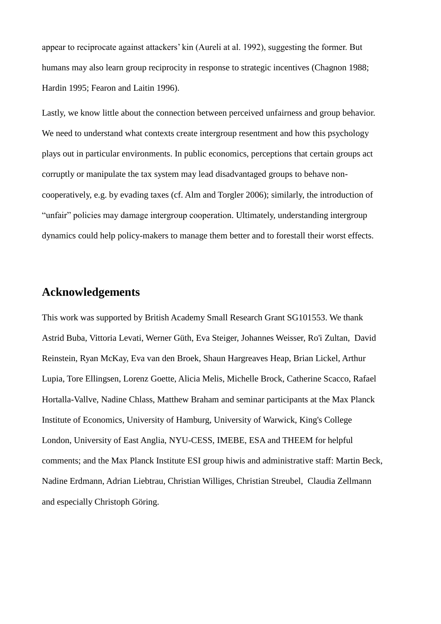appear to reciprocate against attackers' kin (Aureli at al. 1992), suggesting the former. But humans may also learn group reciprocity in response to strategic incentives (Chagnon 1988; Hardin 1995; Fearon and Laitin 1996).

Lastly, we know little about the connection between perceived unfairness and group behavior. We need to understand what contexts create intergroup resentment and how this psychology plays out in particular environments. In public economics, perceptions that certain groups act corruptly or manipulate the tax system may lead disadvantaged groups to behave noncooperatively, e.g. by evading taxes (cf. Alm and Torgler 2006); similarly, the introduction of "unfair" policies may damage intergroup cooperation. Ultimately, understanding intergroup dynamics could help policy-makers to manage them better and to forestall their worst effects.

# **Acknowledgements**

This work was supported by British Academy Small Research Grant SG101553. We thank Astrid Buba, Vittoria Levati, Werner Güth, Eva Steiger, Johannes Weisser, Ro'i Zultan, David Reinstein, Ryan McKay, Eva van den Broek, Shaun Hargreaves Heap, Brian Lickel, Arthur Lupia, Tore Ellingsen, Lorenz Goette, Alicia Melis, Michelle Brock, Catherine Scacco, Rafael Hortalla-Vallve, Nadine Chlass, Matthew Braham and seminar participants at the Max Planck Institute of Economics, University of Hamburg, University of Warwick, King's College London, University of East Anglia, NYU-CESS, IMEBE, ESA and THEEM for helpful comments; and the Max Planck Institute ESI group hiwis and administrative staff: Martin Beck, Nadine Erdmann, Adrian Liebtrau, Christian Williges, Christian Streubel, Claudia Zellmann and especially Christoph Göring.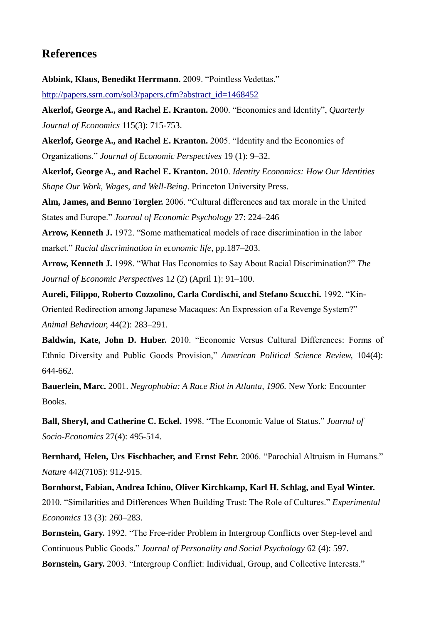# **References**

**Abbink, Klaus, Benedikt Herrmann.** 2009. "Pointless Vedettas."

[http://papers.ssrn.com/sol3/papers.cfm?abstract\\_id=1468452](http://papers.ssrn.com/sol3/papers.cfm?abstract_id=1468452)

**Akerlof, George A., and Rachel E. Kranton.** 2000. "Economics and Identity", *Quarterly Journal of Economics* 115(3): 715-753.

**Akerlof, George A., and Rachel E. Kranton.** 2005. "Identity and the Economics of Organizations." *Journal of Economic Perspectives* 19 (1): 9–32.

**Akerlof, George A., and Rachel E. Kranton.** 2010. *Identity Economics: How Our Identities Shape Our Work, Wages, and Well-Being*. Princeton University Press.

**Alm, James, and Benno Torgler.** 2006. "Cultural differences and tax morale in the United States and Europe." *Journal of Economic Psychology* 27: 224–246

**Arrow, Kenneth J.** 1972. "Some mathematical models of race discrimination in the labor market." *Racial discrimination in economic life*, pp.187–203.

**Arrow, Kenneth J.** 1998. "What Has Economics to Say About Racial Discrimination?" *The Journal of Economic Perspectives* 12 (2) (April 1): 91–100.

**Aureli, Filippo, Roberto Cozzolino, Carla Cordischi, and Stefano Scucchi.** 1992. "Kin-Oriented Redirection among Japanese Macaques: An Expression of a Revenge System?" *Animal Behaviour,* 44(2): 283–291.

**Baldwin, Kate, John D. Huber.** 2010. "Economic Versus Cultural Differences: Forms of Ethnic Diversity and Public Goods Provision," *American Political Science Review,* 104(4): 644-662.

**Bauerlein, Marc.** 2001. *Negrophobia: A Race Riot in Atlanta, 1906.* New York: Encounter Books.

**Ball, Sheryl, and Catherine C. Eckel.** 1998. "The Economic Value of Status." *Journal of Socio-Economics* 27(4): 495-514.

**Bernhard***,* **Helen, Urs Fischbacher, and Ernst Fehr.** 2006. "Parochial Altruism in Humans." *Nature* 442(7105): 912-915.

**Bornhorst, Fabian, Andrea Ichino, Oliver Kirchkamp, Karl H. Schlag, and Eyal Winter.** 2010. "Similarities and Differences When Building Trust: The Role of Cultures." *Experimental Economics* 13 (3): 260–283.

**Bornstein, Gary.** 1992. "The Free-rider Problem in Intergroup Conflicts over Step-level and Continuous Public Goods." *Journal of Personality and Social Psychology* 62 (4): 597.

**Bornstein, Gary.** 2003. "Intergroup Conflict: Individual, Group, and Collective Interests."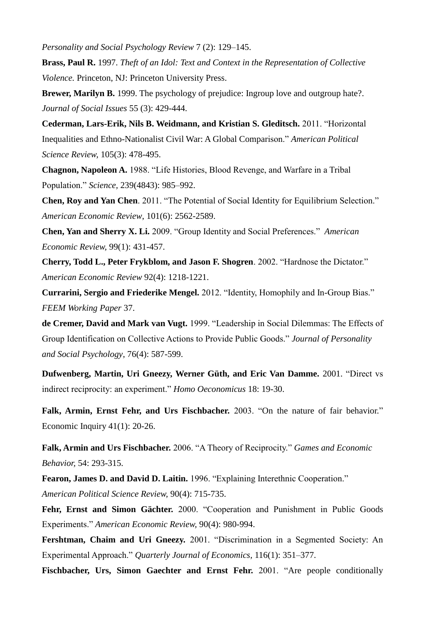*Personality and Social Psychology Review* 7 (2): 129–145.

**Brass, Paul R.** 1997. *Theft of an Idol: Text and Context in the Representation of Collective Violence.* Princeton, NJ: Princeton University Press.

**Brewer, Marilyn B.** 1999. The psychology of prejudice: Ingroup love and outgroup hate?. *Journal of Social Issues* 55 (3): 429-444.

**Cederman, Lars-Erik, Nils B. Weidmann, and Kristian S. Gleditsch.** 2011. "Horizontal Inequalities and Ethno-Nationalist Civil War: A Global Comparison." *American Political Science Review,* 105(3): 478-495.

**Chagnon, Napoleon A.** 1988. "Life Histories, Blood Revenge, and Warfare in a Tribal Population." *Science,* 239(4843): 985–992.

**Chen, Roy and Yan Chen**. 2011. "The Potential of Social Identity for Equilibrium Selection." *American Economic Review*, 101(6): 2562-2589.

**Chen, Yan and Sherry X. Li.** 2009. "Group Identity and Social Preferences." *American Economic Review,* 99(1): 431-457.

**Cherry, Todd L., Peter Frykblom, and Jason F. Shogren**. 2002. "Hardnose the Dictator." *American Economic Review* 92(4): 1218-1221.

**Currarini, Sergio and Friederike Mengel.** 2012. "Identity, Homophily and In-Group Bias." *FEEM Working Paper* 37.

**de Cremer, David and Mark van Vugt.** 1999. "Leadership in Social Dilemmas: The Effects of Group Identification on Collective Actions to Provide Public Goods." *Journal of Personality and Social Psychology*, 76(4): 587-599.

**Dufwenberg, Martin, Uri Gneezy, Werner Güth, and Eric Van Damme.** 2001. "Direct vs indirect reciprocity: an experiment." *Homo Oeconomicus* 18: 19-30.

**Falk, Armin, Ernst Fehr, and Urs Fischbacher.** 2003. "On the nature of fair behavior." Economic Inquiry 41(1): 20-26.

**Falk, Armin and Urs Fischbacher.** 2006. "A Theory of Reciprocity." *Games and Economic Behavior,* 54: 293-315.

**Fearon, James D. and David D. Laitin.** 1996. "Explaining Interethnic Cooperation." *American Political Science Review,* 90(4): 715-735.

**Fehr, Ernst and Simon Gächter.** 2000. "Cooperation and Punishment in Public Goods Experiments." *American Economic Review,* 90(4): 980-994.

**Fershtman, Chaim and Uri Gneezy.** 2001. "Discrimination in a Segmented Society: An Experimental Approach." *Quarterly Journal of Economics,* 116(1): 351–377.

**Fischbacher, Urs, Simon Gaechter and Ernst Fehr.** 2001. "Are people conditionally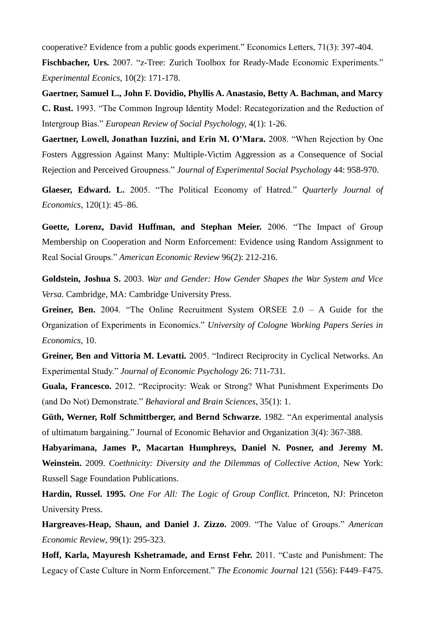cooperative? Evidence from a public goods experiment." Economics Letters, 71(3): 397-404. Fischbacher, Urs. 2007. "z-Tree: Zurich Toolbox for Ready-Made Economic Experiments." *Experimental Econics,* 10(2): 171-178.

**Gaertner, Samuel L., John F. Dovidio, Phyllis A. Anastasio, Betty A. Bachman, and Marcy C. Rust.** 1993. "The Common Ingroup Identity Model: Recategorization and the Reduction of Intergroup Bias." *European Review of Social Psychology,* 4(1): 1-26.

**Gaertner, Lowell, Jonathan Iuzzini, and Erin M. O'Mara.** 2008. "When Rejection by One Fosters Aggression Against Many: Multiple-Victim Aggression as a Consequence of Social Rejection and Perceived Groupness." *Journal of Experimental Social Psychology* 44: 958-970.

**Glaeser, Edward. L.** 2005. "The Political Economy of Hatred." *Quarterly Journal of Economics*, 120(1): 45–86.

**Goette, Lorenz, David Huffman, and Stephan Meier.** 2006. "The Impact of Group Membership on Cooperation and Norm Enforcement: Evidence using Random Assignment to Real Social Groups." *American Economic Review* 96(2): 212-216.

**Goldstein, Joshua S.** 2003. *War and Gender: How Gender Shapes the War System and Vice Versa.* Cambridge, MA: Cambridge University Press.

**Greiner, Ben.** 2004. "The Online Recruitment System ORSEE 2.0 – A Guide for the Organization of Experiments in Economics." *University of Cologne Working Papers Series in Economics,* 10.

**Greiner, Ben and Vittoria M. Levatti.** 2005. "Indirect Reciprocity in Cyclical Networks. An Experimental Study." *Journal of Economic Psychology* 26: 711-731.

**Guala, Francesco.** 2012. "Reciprocity: Weak or Strong? What Punishment Experiments Do (and Do Not) Demonstrate." *Behavioral and Brain Sciences*, 35(1): 1.

**Güth, Werner, Rolf Schmittberger, and Bernd Schwarze.** 1982. "An experimental analysis of ultimatum bargaining." Journal of Economic Behavior and Organization 3(4): 367-388.

**Habyarimana, James P., Macartan Humphreys, Daniel N. Posner, and Jeremy M. Weinstein.** 2009. *Coethnicity: Diversity and the Dilemmas of Collective Action,* New York: Russell Sage Foundation Publications.

**Hardin, Russel. 1995.** *One For All: The Logic of Group Conflict.* Princeton, NJ: Princeton University Press.

**Hargreaves-Heap, Shaun, and Daniel J. Zizzo.** 2009. "The Value of Groups." *American Economic Review*, 99(1): 295-323.

**Hoff, Karla, Mayuresh Kshetramade, and Ernst Fehr.** 2011. "Caste and Punishment: The Legacy of Caste Culture in Norm Enforcement." *The Economic Journal* 121 (556): F449–F475.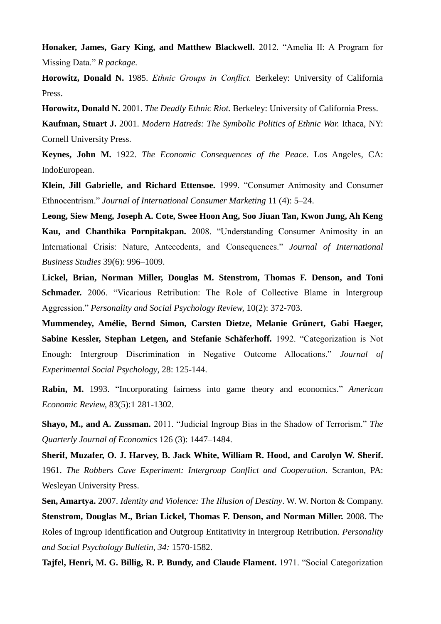**Honaker, James, Gary King, and Matthew Blackwell.** 2012. "Amelia II: A Program for Missing Data." *R package*.

**Horowitz, Donald N.** 1985. *Ethnic Groups in Conflict.* Berkeley: University of California Press.

**Horowitz, Donald N.** 2001. *The Deadly Ethnic Riot.* Berkeley: University of California Press.

**Kaufman, Stuart J.** 2001. *Modern Hatreds: The Symbolic Politics of Ethnic War.* Ithaca, NY: Cornell University Press.

**Keynes, John M.** 1922. *The Economic Consequences of the Peace*. Los Angeles, CA: IndoEuropean.

**Klein, Jill Gabrielle, and Richard Ettensoe.** 1999. "Consumer Animosity and Consumer Ethnocentrism." *Journal of International Consumer Marketing* 11 (4): 5–24.

**Leong, Siew Meng, Joseph A. Cote, Swee Hoon Ang, Soo Jiuan Tan, Kwon Jung, Ah Keng Kau, and Chanthika Pornpitakpan.** 2008. "Understanding Consumer Animosity in an International Crisis: Nature, Antecedents, and Consequences." *Journal of International Business Studies* 39(6): 996–1009.

**Lickel, Brian, Norman Miller, Douglas M. Stenstrom, Thomas F. Denson, and Toni Schmader.** 2006. "Vicarious Retribution: The Role of Collective Blame in Intergroup Aggression." *Personality and Social Psychology Review,* 10(2): 372-703.

**Mummendey, Amélie, Bernd Simon, Carsten Dietze, Melanie Grünert, Gabi Haeger, Sabine Kessler, Stephan Letgen, and Stefanie Schäferhoff.** 1992. "Categorization is Not Enough: Intergroup Discrimination in Negative Outcome Allocations." *Journal of Experimental Social Psychology*, 28: 125-144.

**Rabin, M.** 1993. "Incorporating fairness into game theory and economics." *American Economic Review,* 83(5):1 281-1302.

**Shayo, M., and A. Zussman.** 2011. "Judicial Ingroup Bias in the Shadow of Terrorism." *The Quarterly Journal of Economics* 126 (3): 1447–1484.

**Sherif, Muzafer, O. J. Harvey, B. Jack White, William R. Hood, and Carolyn W. Sherif.** 1961. *The Robbers Cave Experiment: Intergroup Conflict and Cooperation.* Scranton, PA: Wesleyan University Press.

**Sen, Amartya.** 2007. *Identity and Violence: The Illusion of Destiny*. W. W. Norton & Company. **Stenstrom, Douglas M., Brian Lickel, Thomas F. Denson, and Norman Miller.** 2008. The Roles of Ingroup Identification and Outgroup Entitativity in Intergroup Retribution. *Personality and Social Psychology Bulletin, 34:* 1570-1582.

**Tajfel, Henri, M. G. Billig, R. P. Bundy, and Claude Flament.** 1971. "Social Categorization